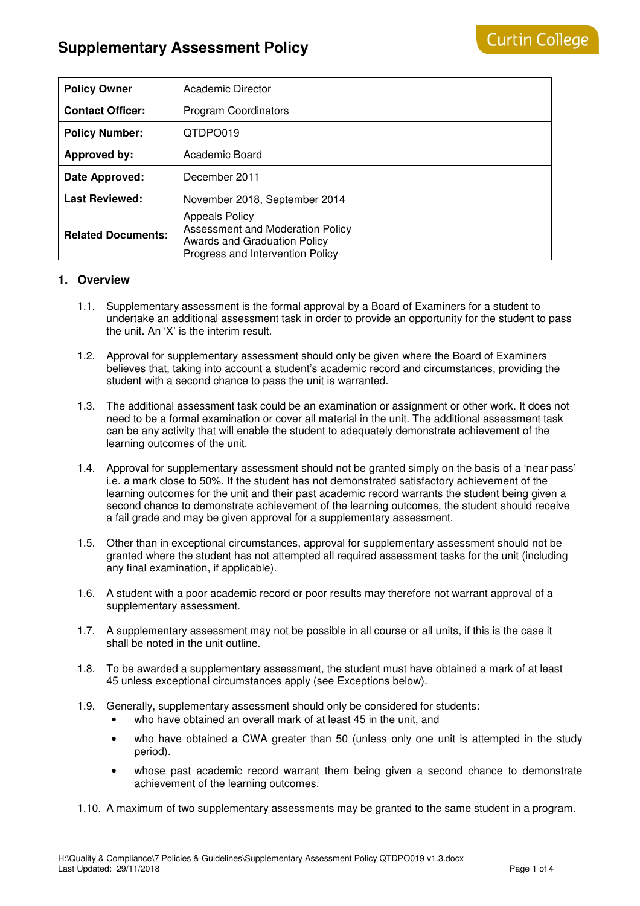# **Supplementary Assessment Policy**

| <b>Policy Owner</b>       | Academic Director                                                                                                             |
|---------------------------|-------------------------------------------------------------------------------------------------------------------------------|
| <b>Contact Officer:</b>   | <b>Program Coordinators</b>                                                                                                   |
| <b>Policy Number:</b>     | QTDPO019                                                                                                                      |
| <b>Approved by:</b>       | Academic Board                                                                                                                |
| Date Approved:            | December 2011                                                                                                                 |
| <b>Last Reviewed:</b>     | November 2018, September 2014                                                                                                 |
| <b>Related Documents:</b> | <b>Appeals Policy</b><br>Assessment and Moderation Policy<br>Awards and Graduation Policy<br>Progress and Intervention Policy |

# **1. Overview**

- 1.1. Supplementary assessment is the formal approval by a Board of Examiners for a student to undertake an additional assessment task in order to provide an opportunity for the student to pass the unit. An 'X' is the interim result.
- 1.2. Approval for supplementary assessment should only be given where the Board of Examiners believes that, taking into account a student's academic record and circumstances, providing the student with a second chance to pass the unit is warranted.
- 1.3. The additional assessment task could be an examination or assignment or other work. It does not need to be a formal examination or cover all material in the unit. The additional assessment task can be any activity that will enable the student to adequately demonstrate achievement of the learning outcomes of the unit.
- 1.4. Approval for supplementary assessment should not be granted simply on the basis of a 'near pass' i.e. a mark close to 50%. If the student has not demonstrated satisfactory achievement of the learning outcomes for the unit and their past academic record warrants the student being given a second chance to demonstrate achievement of the learning outcomes, the student should receive a fail grade and may be given approval for a supplementary assessment.
- 1.5. Other than in exceptional circumstances, approval for supplementary assessment should not be granted where the student has not attempted all required assessment tasks for the unit (including any final examination, if applicable).
- 1.6. A student with a poor academic record or poor results may therefore not warrant approval of a supplementary assessment.
- 1.7. A supplementary assessment may not be possible in all course or all units, if this is the case it shall be noted in the unit outline.
- 1.8. To be awarded a supplementary assessment, the student must have obtained a mark of at least 45 unless exceptional circumstances apply (see Exceptions below).
- 1.9. Generally, supplementary assessment should only be considered for students:
	- who have obtained an overall mark of at least 45 in the unit, and
	- who have obtained a CWA greater than 50 (unless only one unit is attempted in the study period).
	- whose past academic record warrant them being given a second chance to demonstrate achievement of the learning outcomes.
- 1.10. A maximum of two supplementary assessments may be granted to the same student in a program.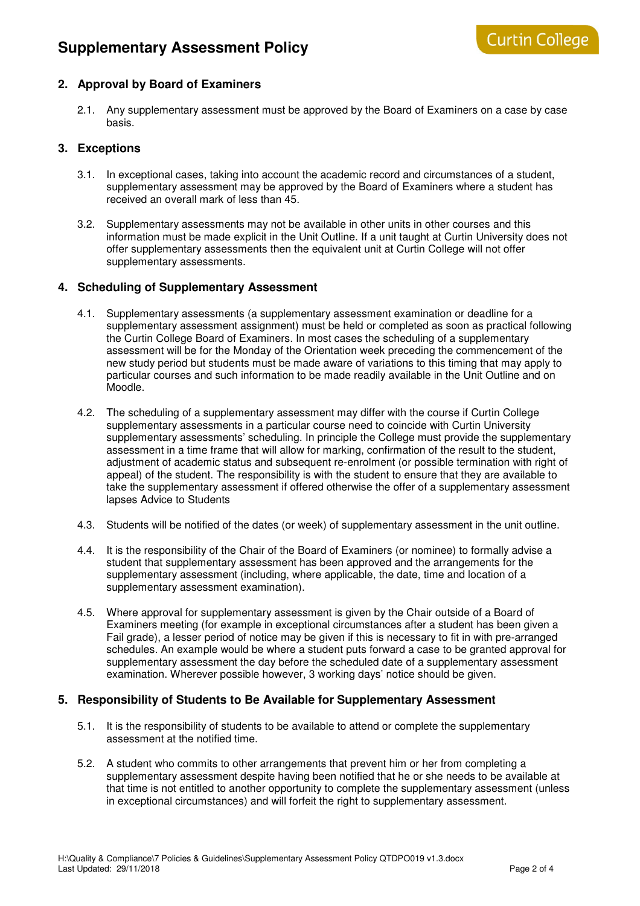# **2. Approval by Board of Examiners**

2.1. Any supplementary assessment must be approved by the Board of Examiners on a case by case basis.

## **3. Exceptions**

- 3.1. In exceptional cases, taking into account the academic record and circumstances of a student, supplementary assessment may be approved by the Board of Examiners where a student has received an overall mark of less than 45.
- 3.2. Supplementary assessments may not be available in other units in other courses and this information must be made explicit in the Unit Outline. If a unit taught at Curtin University does not offer supplementary assessments then the equivalent unit at Curtin College will not offer supplementary assessments.

# **4. Scheduling of Supplementary Assessment**

- 4.1. Supplementary assessments (a supplementary assessment examination or deadline for a supplementary assessment assignment) must be held or completed as soon as practical following the Curtin College Board of Examiners. In most cases the scheduling of a supplementary assessment will be for the Monday of the Orientation week preceding the commencement of the new study period but students must be made aware of variations to this timing that may apply to particular courses and such information to be made readily available in the Unit Outline and on Moodle.
- 4.2. The scheduling of a supplementary assessment may differ with the course if Curtin College supplementary assessments in a particular course need to coincide with Curtin University supplementary assessments' scheduling. In principle the College must provide the supplementary assessment in a time frame that will allow for marking, confirmation of the result to the student, adjustment of academic status and subsequent re-enrolment (or possible termination with right of appeal) of the student. The responsibility is with the student to ensure that they are available to take the supplementary assessment if offered otherwise the offer of a supplementary assessment lapses Advice to Students
- 4.3. Students will be notified of the dates (or week) of supplementary assessment in the unit outline.
- 4.4. It is the responsibility of the Chair of the Board of Examiners (or nominee) to formally advise a student that supplementary assessment has been approved and the arrangements for the supplementary assessment (including, where applicable, the date, time and location of a supplementary assessment examination).
- 4.5. Where approval for supplementary assessment is given by the Chair outside of a Board of Examiners meeting (for example in exceptional circumstances after a student has been given a Fail grade), a lesser period of notice may be given if this is necessary to fit in with pre-arranged schedules. An example would be where a student puts forward a case to be granted approval for supplementary assessment the day before the scheduled date of a supplementary assessment examination. Wherever possible however, 3 working days' notice should be given.

### **5. Responsibility of Students to Be Available for Supplementary Assessment**

- 5.1. It is the responsibility of students to be available to attend or complete the supplementary assessment at the notified time.
- 5.2. A student who commits to other arrangements that prevent him or her from completing a supplementary assessment despite having been notified that he or she needs to be available at that time is not entitled to another opportunity to complete the supplementary assessment (unless in exceptional circumstances) and will forfeit the right to supplementary assessment.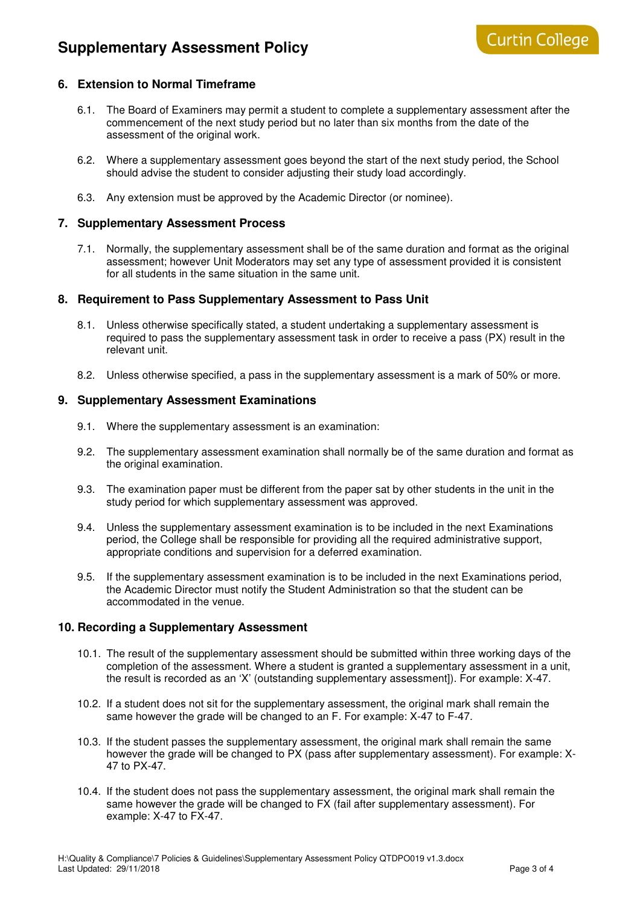# **6. Extension to Normal Timeframe**

- 6.1. The Board of Examiners may permit a student to complete a supplementary assessment after the commencement of the next study period but no later than six months from the date of the assessment of the original work.
- 6.2. Where a supplementary assessment goes beyond the start of the next study period, the School should advise the student to consider adjusting their study load accordingly.
- 6.3. Any extension must be approved by the Academic Director (or nominee).

#### **7. Supplementary Assessment Process**

7.1. Normally, the supplementary assessment shall be of the same duration and format as the original assessment; however Unit Moderators may set any type of assessment provided it is consistent for all students in the same situation in the same unit.

#### **8. Requirement to Pass Supplementary Assessment to Pass Unit**

- 8.1. Unless otherwise specifically stated, a student undertaking a supplementary assessment is required to pass the supplementary assessment task in order to receive a pass (PX) result in the relevant unit.
- 8.2. Unless otherwise specified, a pass in the supplementary assessment is a mark of 50% or more.

#### **9. Supplementary Assessment Examinations**

- 9.1. Where the supplementary assessment is an examination:
- 9.2. The supplementary assessment examination shall normally be of the same duration and format as the original examination.
- 9.3. The examination paper must be different from the paper sat by other students in the unit in the study period for which supplementary assessment was approved.
- 9.4. Unless the supplementary assessment examination is to be included in the next Examinations period, the College shall be responsible for providing all the required administrative support, appropriate conditions and supervision for a deferred examination.
- 9.5. If the supplementary assessment examination is to be included in the next Examinations period, the Academic Director must notify the Student Administration so that the student can be accommodated in the venue.

#### **10. Recording a Supplementary Assessment**

- 10.1. The result of the supplementary assessment should be submitted within three working days of the completion of the assessment. Where a student is granted a supplementary assessment in a unit, the result is recorded as an 'X' (outstanding supplementary assessment]). For example: X-47.
- 10.2. If a student does not sit for the supplementary assessment, the original mark shall remain the same however the grade will be changed to an F. For example: X-47 to F-47.
- 10.3. If the student passes the supplementary assessment, the original mark shall remain the same however the grade will be changed to PX (pass after supplementary assessment). For example: X-47 to PX-47.
- 10.4. If the student does not pass the supplementary assessment, the original mark shall remain the same however the grade will be changed to FX (fail after supplementary assessment). For example: X-47 to FX-47.